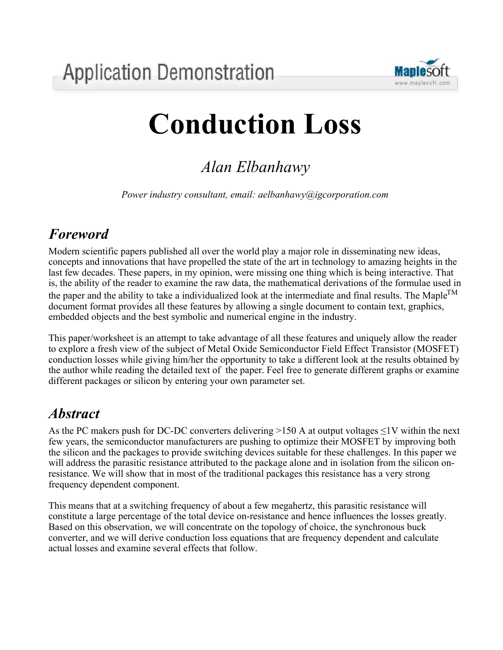

# **Conduction Loss**

# *Alan Elbanhawy*

*Power industry consultant, email: aelbanhawy@igcorporation.com*

## *Foreword*

Modern scientific papers published all over the world play a major role in disseminating new ideas, concepts and innovations that have propelled the state of the art in technology to amazing heights in the last few decades. These papers, in my opinion, were missing one thing which is being interactive. That is, the ability of the reader to examine the raw data, the mathematical derivations of the formulae used in the paper and the ability to take a individualized look at the intermediate and final results. The Maple<sup>TM</sup> document format provides all these features by allowing a single document to contain text, graphics, embedded objects and the best symbolic and numerical engine in the industry.

This paper/worksheet is an attempt to take advantage of all these features and uniquely allow the reader to explore a fresh view of the subject of Metal Oxide Semiconductor Field Effect Transistor (MOSFET) conduction losses while giving him/her the opportunity to take a different look at the results obtained by the author while reading the detailed text of the paper. Feel free to generate different graphs or examine different packages or silicon by entering your own parameter set.

## *Abstract*

As the PC makers push for DC-DC converters delivering >150 A at output voltages  $\leq$ 1V within the next few years, the semiconductor manufacturers are pushing to optimize their MOSFET by improving both the silicon and the packages to provide switching devices suitable for these challenges. In this paper we will address the parasitic resistance attributed to the package alone and in isolation from the silicon onresistance. We will show that in most of the traditional packages this resistance has a very strong frequency dependent component.

This means that at a switching frequency of about a few megahertz, this parasitic resistance will constitute a large percentage of the total device on-resistance and hence influences the losses greatly. Based on this observation, we will concentrate on the topology of choice, the synchronous buck converter, and we will derive conduction loss equations that are frequency dependent and calculate actual losses and examine several effects that follow.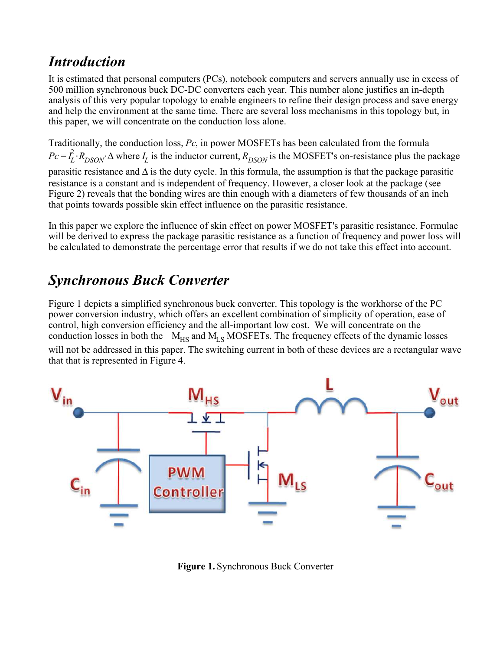## *Introduction*

It is estimated that personal computers (PCs), notebook computers and servers annually use in excess of 500 million synchronous buck DC-DC converters each year. This number alone justifies an in-depth analysis of this very popular topology to enable engineers to refine their design process and save energy and help the environment at the same time. There are several loss mechanisms in this topology but, in this paper, we will concentrate on the conduction loss alone.

Traditionally, the conduction loss, *Pc*, in power MOSFETs has been calculated from the formula  $Pc = I_L^2$  $\frac{2}{L}$ ⋅ $R$ <sub>DSON</sub>⋅∆ where  $I_L$  is the inductor current,  $R$ <sub>DSON</sub> is the MOSFET's on-resistance plus the package parasitic resistance and ∆ is the duty cycle. In this formula, the assumption is that the package parasitic resistance is a constant and is independent of frequency. However, a closer look at the package (see Figure 2) reveals that the bonding wires are thin enough with a diameters of few thousands of an inch that points towards possible skin effect influence on the parasitic resistance.

In this paper we explore the influence of skin effect on power MOSFET's parasitic resistance. Formulae will be derived to express the package parasitic resistance as a function of frequency and power loss will be calculated to demonstrate the percentage error that results if we do not take this effect into account.

## *Synchronous Buck Converter*

Figure 1 depicts a simplified synchronous buck converter. This topology is the workhorse of the PC power conversion industry, which offers an excellent combination of simplicity of operation, ease of control, high conversion efficiency and the all-important low cost. We will concentrate on the conduction losses in both the  $M_{HS}$  and  $M_{LS}$  MOSFETs. The frequency effects of the dynamic losses will not be addressed in this paper. The switching current in both of these devices are a rectangular wave that that is represented in Figure 4.



**Figure 1.** Synchronous Buck Converter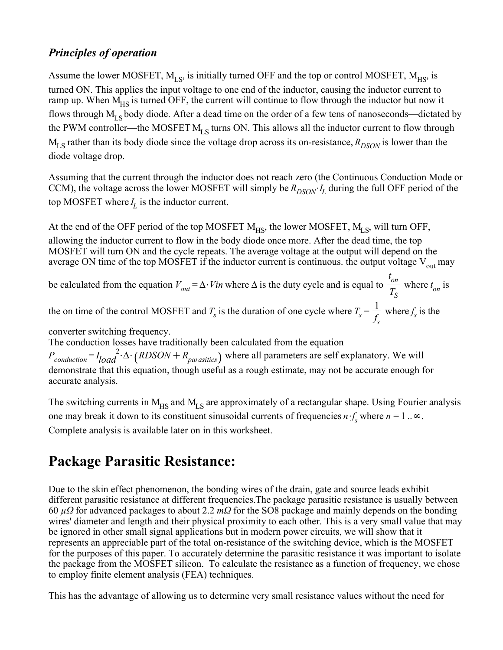#### *Principles of operation*

Assume the lower MOSFET,  $M_{LS}$ , is initially turned OFF and the top or control MOSFET,  $M_{HS}$ , is turned ON. This applies the input voltage to one end of the inductor, causing the inductor current to ramp up. When  $\overrightarrow{M}_{HS}$  is turned OFF, the current will continue to flow through the inductor but now it flows through  $M_{LS}$  body diode. After a dead time on the order of a few tens of nanoseconds—dictated by the PWM controller—the MOSFET  $M_{LS}$  turns ON. This allows all the inductor current to flow through  $M_{LS}$  rather than its body diode since the voltage drop across its on-resistance,  $R_{DSON}$  is lower than the diode voltage drop.

Assuming that the current through the inductor does not reach zero (the Continuous Conduction Mode or CCM), the voltage across the lower MOSFET will simply be  $R_{DSON}$  $I_L$  during the full OFF period of the top MOSFET where  $I_L$  is the inductor current.

At the end of the OFF period of the top MOSFET  $M_{HS}$ , the lower MOSFET,  $M_{LS}$ , will turn OFF, allowing the inductor current to flow in the body diode once more. After the dead time, the top MOSFET will turn ON and the cycle repeats. The average voltage at the output will depend on the average ON time of the top MOSFET if the inductor current is continuous. the output voltage  $V_{\text{out}}$  may

be calculated from the equation  $V_{out} = \Delta \cdot Vin$  where  $\Delta$  is the duty cycle and is equal to *t on TS* where  $t_{on}$  is the on time of the control MOSFET and  $T_s$  is the duration of one cycle where  $T_s = \frac{1}{f}$ *f s* where  $f_s$  is the

converter switching frequency.

The conduction losses have traditionally been calculated from the equation

*Pconduction* = *I load*  $R^2 \cdot \Delta \cdot (RDSON + R_{parasities})$  where all parameters are self explanatory. We will demonstrate that this equation, though useful as a rough estimate, may not be accurate enough for accurate analysis.

The switching currents in  $M_{HS}$  and  $M_{LS}$  are approximately of a rectangular shape. Using Fourier analysis one may break it down to its constituent sinusoidal currents of frequencies  $n \cdot f_s$  where  $n = 1$ ... Complete analysis is available later on in this worksheet.

## **Package Parasitic Resistance:**

Due to the skin effect phenomenon, the bonding wires of the drain, gate and source leads exhibit different parasitic resistance at different frequencies.The package parasitic resistance is usually between 60 *µΩ* for advanced packages to about 2.2 *mΩ* for the SO8 package and mainly depends on the bonding wires' diameter and length and their physical proximity to each other. This is a very small value that may be ignored in other small signal applications but in modern power circuits, we will show that it represents an appreciable part of the total on-resistance of the switching device, which is the MOSFET for the purposes of this paper. To accurately determine the parasitic resistance it was important to isolate the package from the MOSFET silicon. To calculate the resistance as a function of frequency, we chose to employ finite element analysis (FEA) techniques.

This has the advantage of allowing us to determine very small resistance values without the need for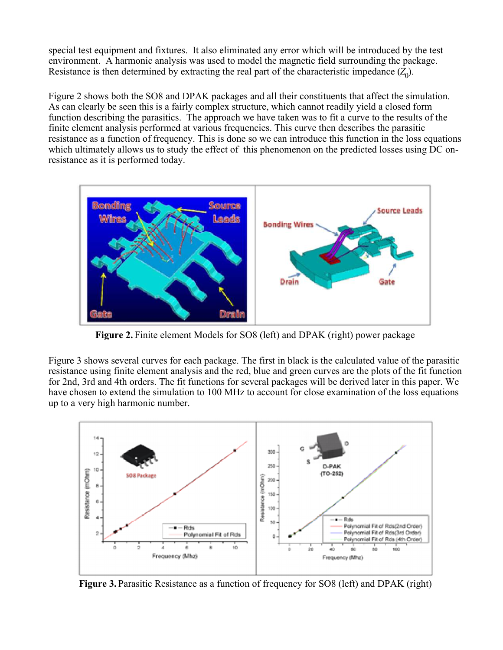special test equipment and fixtures. It also eliminated any error which will be introduced by the test environment. A harmonic analysis was used to model the magnetic field surrounding the package. Resistance is then determined by extracting the real part of the characteristic impedance  $(Z_0)$ .

Figure 2 shows both the SO8 and DPAK packages and all their constituents that affect the simulation. As can clearly be seen this is a fairly complex structure, which cannot readily yield a closed form function describing the parasitics. The approach we have taken was to fit a curve to the results of the finite element analysis performed at various frequencies. This curve then describes the parasitic resistance as a function of frequency. This is done so we can introduce this function in the loss equations which ultimately allows us to study the effect of this phenomenon on the predicted losses using DC onresistance as it is performed today.



**Figure 2.** Finite element Models for SO8 (left) and DPAK (right) power package

Figure 3 shows several curves for each package. The first in black is the calculated value of the parasitic resistance using finite element analysis and the red, blue and green curves are the plots of the fit function for 2nd, 3rd and 4th orders. The fit functions for several packages will be derived later in this paper. We have chosen to extend the simulation to 100 MHz to account for close examination of the loss equations up to a very high harmonic number.



**Figure 3.** Parasitic Resistance as a function of frequency for SO8 (left) and DPAK (right)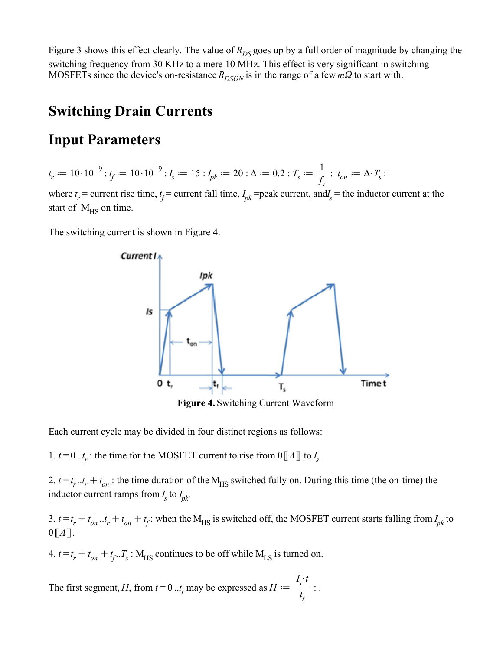Figure 3 shows this effect clearly. The value of  $R_{DS}$  goes up by a full order of magnitude by changing the switching frequency from 30 KHz to a mere 10 MHz. This effect is very significant in switching MOSFETs since the device's on-resistance  $R_{DSON}$  is in the range of a few  $m\Omega$  to start with.

## **Switching Drain Currents**

### **Input Parameters**

$$
t_r := 10 \cdot 10^{-9} : t_f := 10 \cdot 10^{-9} : I_s := 15 : I_{pk} := 20 : \Delta := 0.2 : T_s := \frac{1}{f_s} : t_{on} := \Delta \cdot T_s :
$$

where  $t_r$  = current rise time,  $t_f$  = current fall time,  $I_{pk}$  = peak current, and $I_s$  = the inductor current at the start of  $M_{\text{HS}}$  on time.

The switching current is shown in Figure 4.



Each current cycle may be divided in four distinct regions as follows:

1.  $t = 0$ .. $t_r$ : the time for the MOSFET current to rise from  $0 \llbracket A \rrbracket$  to  $I_s$ .

2.  $t = t_r \cdot t_r + t_{on}$ : the time duration of the M<sub>HS</sub> switched fully on. During this time (the on-time) the inductor current ramps from  $I_s$  to  $I_{pk}$ .

3.  $t = t_r + t_{on}$ .. $t_r + t_{on} + t_f$ : when the M<sub>HS</sub> is switched off, the MOSFET current starts falling from  $I_{pk}$  to  $0 \llbracket A \rrbracket$ .

4.  $t = t_r + t_{on} + t_f \cdot T_s$ : M<sub>HS</sub> continues to be off while M<sub>LS</sub> is turned on.

The first segment, *I1*, from  $t = 0 \ldots t_r$  may be expressed as  $II :=$  $I_s \cdot t$ *t r* : .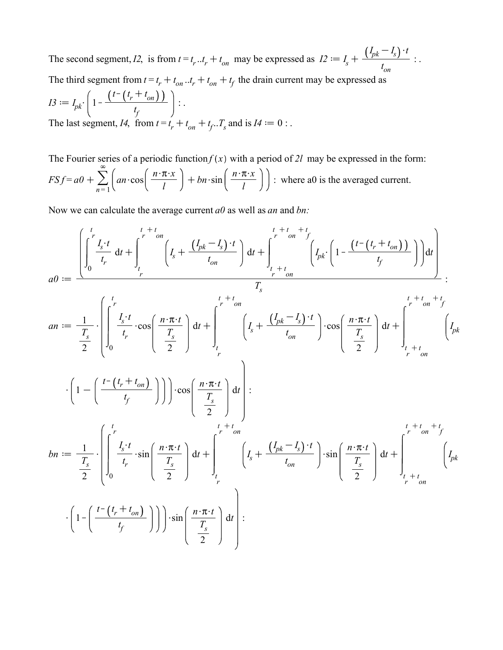The second segment, *I2*, is from  $t = t_r \tcdot t_r + t_{on}$  may be expressed as  $I2 := I_s + I_s$  $I_{pk} - I_s \cdot t$ *t on* : . The third segment from  $t = t_r + t_{on}$ ... $t_r + t_{on} + t_f$  the drain current may be expressed as

$$
I3 := I_{pk} \cdot \left(1 - \frac{\left(t - \left(t_r + t_{on}\right)\right)}{t_f}\right) \dots
$$
  
The last segment, *I4*, from  $t = t_r + t_{on} + t_f \dots T_s$  and is *I4* := 0 : .

The Fourier series of a periodic function  $f(x)$  with a period of 2l may be expressed in the form:  $FSf = a0 + \sum_{ }^{\infty}$  $n = 1$  $\infty$  $an \cdot \cos \left( \frac{n \cdot \pi \cdot x}{l} \right)$ *l*  $+bn \cdot \sin \left( \frac{n \cdot \pi \cdot x}{l} \right)$ *l* : where a0 is the averaged current.

Now we can calculate the average current *a0* as well as *an* and *bn:*

$$
a0 := \frac{\left[\int_{0}^{t} \frac{I_{s} \cdot t}{t_{p}} dt + \int_{t}^{t+t} dt\right]_{t}^{t+t} \left(I_{s} + \frac{(I_{pk} - I_{s}) \cdot t}{t_{on}}\right] dt + \int_{t+t}^{t+t} \left(I_{pk} \cdot \left(1 - \frac{(t-(t_{p} + t_{on}))}{t_{p}}\right)\right) dt\right]}{T_{s}}
$$
\n
$$
a0 := \frac{1}{\frac{T_{s}}{2}} \cdot \left[\int_{0}^{t} \frac{I_{s} \cdot t}{t_{p}} \cdot \cos\left(\frac{n \cdot \pi \cdot t}{T_{s}}\right) dt + \int_{t}^{t+t} \left(I_{s} + \frac{(I_{pk} - I_{s}) \cdot t}{t_{on}}\right) \cdot \cos\left(\frac{n \cdot \pi \cdot t}{T_{s}}\right) dt + \int_{t+t}^{t+t} \left(I_{pk} \cdot \frac{(I_{pk} - I_{s}) \cdot t}{t_{on}}\right) dt\right] + \left[\int_{t+t}^{t+t} \left(I_{pk} \cdot \frac{(I_{pk} - I_{s}) \cdot t}{T_{s}}\right) dt\right]_{t}^{t+t} \left(I_{pk} \cdot \frac{(I_{pk} - I_{s}) \cdot t}{T_{s}}\right) dt + \int_{t}^{t+t} \left(I_{pk} \cdot \frac{(I_{pk} - I_{s}) \cdot t}{T_{s}}\right) dt + \int_{t}^{t+t} \left(I_{pk} \cdot \frac{(I_{pk} - I_{s}) \cdot t}{T_{s}}\right) \cdot \sin\left(\frac{n \cdot \pi \cdot t}{T_{s}}\right) dt + \int_{t}^{t+t} \left(I_{pk} \cdot \frac{(I_{pk} - I_{s}) \cdot t}{T_{s}}\right) dt + \int_{t}^{t+t} \left(I_{pk} \cdot \frac{(I_{pk} - I_{s}) \cdot t}{T_{s}}\right) dt + \int_{t}^{t+t} \left(I_{pk} \cdot \frac{(I_{pk} - I_{s}) \cdot t}{T_{s}}\right) dt\right) dt
$$
\n
$$
\cdot \left(1 - \left(\frac{t - (t_{p} + t_{on})}{t_{p}}\right)\right)\right) \cdot \sin\left(\frac{n \cdot \pi \cdot t}{T_{s}}\right) dt + \left[\int_{t}^{t+t} \frac{(I_{pk} - I_{s}) \cdot t}{t_{on}}\right]
$$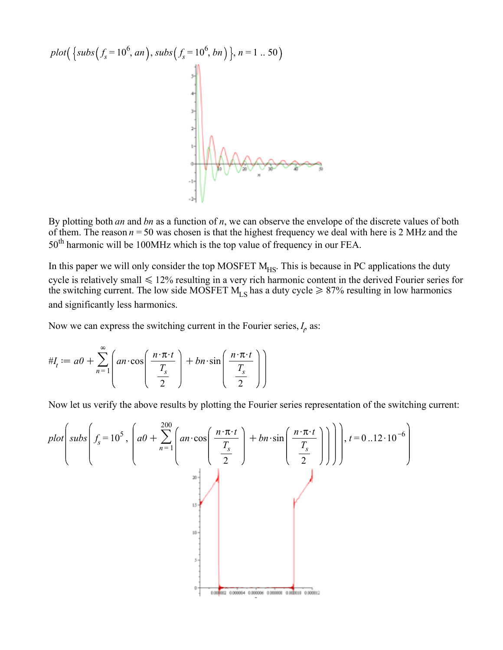

By plotting both *an* and *bn* as a function of *n*, we can observe the envelope of the discrete values of both of them. The reason  $n = 50$  was chosen is that the highest frequency we deal with here is 2 MHz and the 50<sup>th</sup> harmonic will be 100MHz which is the top value of frequency in our FEA.

In this paper we will only consider the top MOSFET  $M_{HS}$ . This is because in PC applications the duty cycle is relatively small  $\leq 12\%$  resulting in a very rich harmonic content in the derived Fourier series for the switching current. The low side MOSFET  $M_{LS}$  has a duty cycle  $\geq 87\%$  resulting in low harmonics and significantly less harmonics.

Now we can express the switching current in the Fourier series,  $I_p$  as:

$$
\#I_t := a0 + \sum_{n=1}^{\infty} \left( a n \cdot \cos\left(\frac{n \cdot \pi \cdot t}{\frac{T_s}{2}}\right) + b n \cdot \sin\left(\frac{n \cdot \pi \cdot t}{\frac{T_s}{2}}\right) \right)
$$

Now let us verify the above results by plotting the Fourier series representation of the switching current:

$$
plot\left(subs\left(f_s = 10^5, \left(a0 + \sum_{n=1}^{200} \left(an \cdot \cos\left(\frac{n \cdot \pi \cdot t}{\frac{T_s}{2}}\right) + bn \cdot \sin\left(\frac{n \cdot \pi \cdot t}{\frac{T_s}{2}}\right)\right)\right)\right), t = 0..12 \cdot 10^{-6}\right)
$$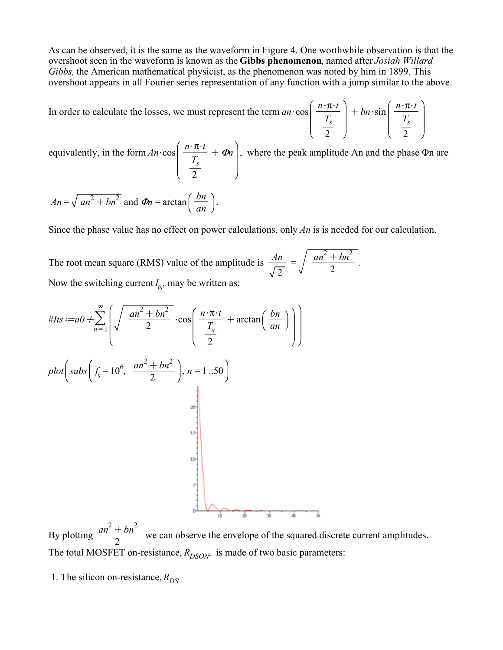As can be observed, it is the same as the waveform in Figure 4. One worthwhile observation is that the overshoot seen in the waveform is known as the **Gibbs phenomenon**, named after *Josiah Willard Gibbs,* the American mathematical physicist, as the phenomenon was noted by him in 1899. This overshoot appears in all Fourier series representation of any function with a jump similar to the above.

In order to calculate the losses, we must represent the term  $an \cdot cos$  $n \cdot \pi \cdot t$ *Ts* 2  $+bn \cdot \sin \left( \frac{n \cdot \pi \cdot t}{\pi} \right)$ *Ts* 2

equivalently, in the form  $An \cdot \cos \left( \frac{n \cdot \pi \cdot t}{T} \right)$ *Ts* 2  $+ \Phi n$ , where the peak amplitude An and the phase  $\Phi n$  are  $An = \sqrt{an^2 + bn^2}$  and  $\Phi n = \arctan\left(\frac{bn}{n}\right)$ .

Since the phase value has no effect on power calculations, only *An* is is needed for our calculation.

The root mean square (RMS) value of the amplitude is  $\frac{An}{\sqrt{m}}$ 2  $=\int \frac{an^2 + bn^2}{2}$ 2 . Now the switching current  $I_{ts}$ , may be written as:

*an*



By plotting  $\frac{an^2 + bn^2}{2}$  $\frac{1 - 6n}{2}$  we can observe the envelope of the squared discrete current amplitudes. The total MOSFET on-resistance,  $R_{DSON}$  is made of two basic parameters:

1. The silicon on-resistance,  $R_{DS}$ .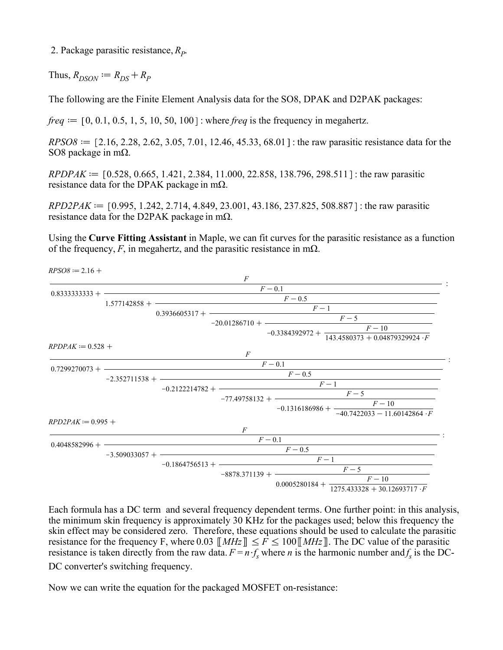2. Package parasitic resistance, *R<sup>P</sup>* .

Thus,  $R_{DSON} := R_{DS} + R_p$ 

The following are the Finite Element Analysis data for the SO8, DPAK and D2PAK packages:

*freq*  $:= [0, 0.1, 0.5, 1, 5, 10, 50, 100]$ : where *freq* is the frequency in megahertz.

 $RPSO8 := [2.16, 2.28, 2.62, 3.05, 7.01, 12.46, 45.33, 68.01]$ : the raw parasitic resistance data for the SO8 package in mΩ.

 $RPDPAK := [0.528, 0.665, 1.421, 2.384, 11.000, 22.858, 138.796, 298.511]$ : the raw parasitic resistance data for the DPAK package in m $\Omega$ .

 $RPD2PAK := [0.995, 1.242, 2.714, 4.849, 23.001, 43.186, 237.825, 508.887]$ : the raw parasitic resistance data for the D2PAK package in m $\Omega$ .

Using the **Curve Fitting Assistant** in Maple, we can fit curves for the parasitic resistance as a function of the frequency,  $F$ , in megahertz, and the parasitic resistance in m $\Omega$ .



Each formula has a DC term and several frequency dependent terms. One further point: in this analysis, the minimum skin frequency is approximately 30 KHz for the packages used; below this frequency the skin effect may be considered zero. Therefore, these equations should be used to calculate the parasitic resistance for the frequency F, where 0.03  $\llbracket MHz \rrbracket \le F \le 100 \llbracket MHz \rrbracket$ . The DC value of the parasitic resistance is taken directly from the raw data.  $F = n \cdot f_s$  where *n* is the harmonic number and  $f_s$  is the DC-DC converter's switching frequency.

Now we can write the equation for the packaged MOSFET on-resistance: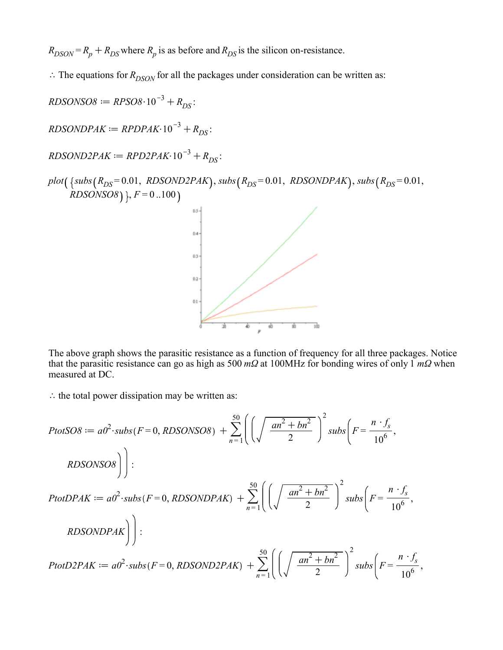$R_{DSON} = R_p + R_{DS}$  where  $R_p$  is as before and  $R_{DS}$  is the silicon on-resistance.

 $\therefore$  The equations for  $R_{DSON}$  for all the packages under consideration can be written as:

 $RDSONSO8 := RPSO8 \cdot 10^{-3} + R_{DS}$  $RDSONDPAK := RPDPAK·10^{-3} + R_{DS}$  $RDSOND2PAK := RPD2PAK \cdot 10^{-3} + R_{DS}$  $plot({}$  {subs  $(R_{DS} = 0.01, RDSOND2PAK)$ ,  $subs(R_{DS} = 0.01, RDSOND2AK)$ ,  $subs(R_{DS} = 0.01, RDSOND2AK)$ *RDSONSO8* )  $F = 0.100$  $0.5 0.4$  $0.3$ 63  $0.1$ 

The above graph shows the parasitic resistance as a function of frequency for all three packages. Notice that the parasitic resistance can go as high as 500 *mΩ* at 100MHz for bonding wires of only 1 *mΩ* when measured at DC.

 $\therefore$  the total power dissipation may be written as:

$$
PtotSO8 := a02 \cdot subs(F = 0, RDSONSO8) + \sum_{n=1}^{50} \left( \left( \sqrt{\frac{an^2 + bn^2}{2}} \right)^2 \, subs \left( F = \frac{n \cdot f_s}{10^6}, \right) \right)
$$
  
\n
$$
RDSONSO8 \right) :
$$
  
\n
$$
PtotDPAK := a02 \cdot subs(F = 0, RDSONDPAK) + \sum_{n=1}^{50} \left( \left( \sqrt{\frac{an^2 + bn^2}{2}} \right)^2 \, subs \left( F = \frac{n \cdot f_s}{10^6}, \right) \right)
$$
  
\n
$$
RDSONDPAK \right) :
$$
  
\n
$$
PtotD2PAK := a02 \cdot subs(F = 0, RDSOND2PAK) + \sum_{n=1}^{50} \left( \left( \sqrt{\frac{an^2 + bn^2}{2}} \right)^2 \, subs \left( F = \frac{n \cdot f_s}{10^6}, \right) \right)
$$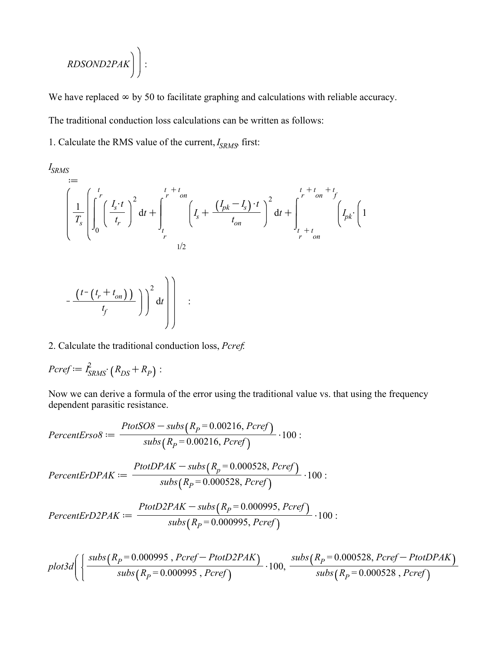$$
RDSOND2PAK \bigg)\bigg):
$$

We have replaced  $\infty$  by 50 to facilitate graphing and calculations with reliable accuracy. The traditional conduction loss calculations can be written as follows:

1. Calculate the RMS value of the current, *I SRMS*, first:

$$
\begin{aligned}\n\int_{SRMS} &= \\
&= \\
\left(\frac{1}{T_s}\left[\int_0^t \left(\frac{I_s \cdot t}{t_r}\right)^2 dt + \int_t^r \int_t^{t+t_{on}} \left(I_s + \frac{\left(I_{pk} - I_s\right) \cdot t}{t_{on}}\right)^2 dt + \int_t^r \int_t^{t+t_{on}} \left(I_{pk} \cdot \left(1 - \frac{I_s}{t_{on}}\right)^2 \right) dt\right) \right] \\
&= \\
&= \int_{t_s + t_{on}}^{t+t_{on}} \left(\frac{I_{pk} - I_s}{t_{on}}\right)^2 dt + \int_{t_{on}}^{t+t_{on}} \left(\frac{I_{pk} - I_s}{t_{on}}\right)^2 dt\n\end{aligned}
$$

$$
-\frac{(t-(t_r+t_{on}))}{t_f}\bigg)\bigg)^2 dt\Bigg)\Bigg] :
$$

2. Calculate the traditional conduction loss, *Pcref*:

$$
P\text{cref} := \hat{I}_{SRMS}^2 \cdot (R_{DS} + R_P) :
$$

Now we can derive a formula of the error using the traditional value vs. that using the frequency dependent parasitic resistance.

$$
Percent Erso8 := \frac{ProtSO8 - subs(R_P = 0.00216, Peref)}{subs(R_P = 0.00216, Peref)} \cdot 100 :
$$
\n
$$
Percent ErDPAK := \frac{ProtDPAK - subs(R_P = 0.000528, Peref)}{subs(R_P = 0.000528, Peref)} \cdot 100 :
$$
\n
$$
Percent ErD2PAK := \frac{ProtD2PAK - subs(R_P = 0.000995, Peref)}{subs(R_P = 0.000995, Peref)} \cdot 100 :
$$

$$
plot3d\Bigg(\Bigg\{\frac{subs(R_P=0.000995~,Peref-PtotD2PAK)}{subs(R_P=0.000995~,Peref)}\cdot 100, \frac{subs(R_P=0.000528,Peref-PtotDPAK)}{subs(R_P=0.000528,Peref)}
$$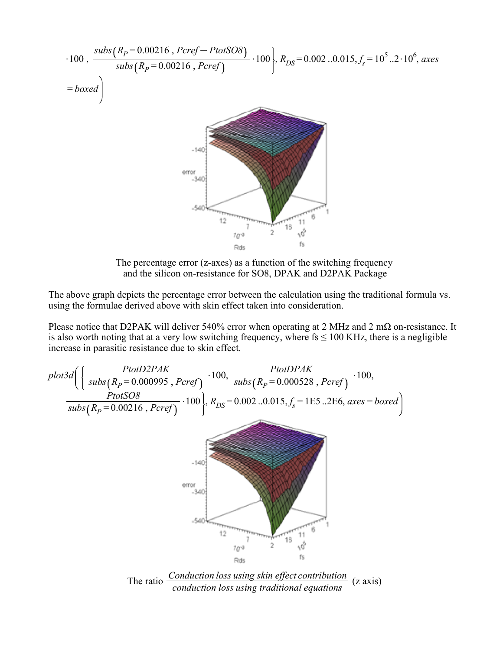

The percentage error (z-axes) as a function of the switching frequency and the silicon on-resistance for SO8, DPAK and D2PAK Package

The above graph depicts the percentage error between the calculation using the traditional formula vs. using the formulae derived above with skin effect taken into consideration.

Please notice that D2PAK will deliver 540% error when operating at 2 MHz and 2 m $\Omega$  on-resistance. It is also worth noting that at a very low switching frequency, where  $fs \le 100$  KHz, there is a negligible increase in parasitic resistance due to skin effect.



The ratio *Conduction loss using skin effect contribution* (z axis) *conduction loss using traditional equations*